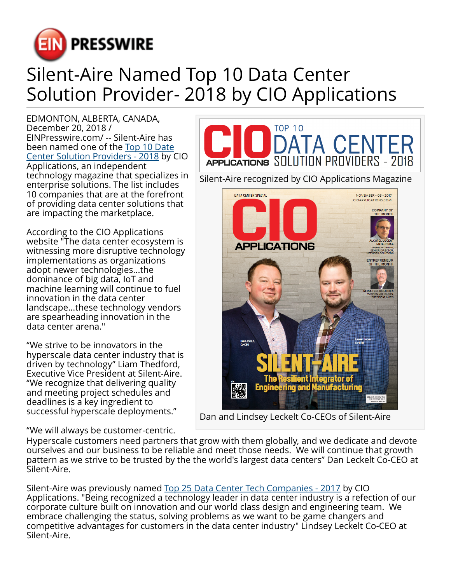

## Silent-Aire Named Top 10 Data Center Solution Provider- 2018 by CIO Applications

EDMONTON, ALBERTA, CANADA, December 20, 2018 / [EINPresswire.com](http://www.einpresswire.com)/ -- Silent-Aire has been named one of the [Top 10 Date](https://www.cioapplications.com/vendors/top-10-data-center-solution-providers-2018-rid-120.html) [Center Solution Providers - 2018](https://www.cioapplications.com/vendors/top-10-data-center-solution-providers-2018-rid-120.html) by CIO Applications, an independent technology magazine that specializes in enterprise solutions. The list includes 10 companies that are at the forefront of providing data center solutions that are impacting the marketplace.

According to the CIO Applications website "The data center ecosystem is witnessing more disruptive technology implementations as organizations adopt newer technologies...the dominance of big data, IoT and machine learning will continue to fuel innovation in the data center landscape...these technology vendors are spearheading innovation in the data center arena."

"We strive to be innovators in the hyperscale data center industry that is driven by technology" Liam Thedford, Executive Vice President at Silent-Aire. "We recognize that delivering quality and meeting project schedules and deadlines is a key ingredient to successful hyperscale deployments."

"We will always be customer-centric.



Dan and Lindsey Leckelt Co-CEOs of Silent-Aire

Hyperscale customers need partners that grow with them globally, and we dedicate and devote ourselves and our business to be reliable and meet those needs. We will continue that growth pattern as we strive to be trusted by the the world's largest data centers" Dan Leckelt Co-CEO at Silent-Aire.

Silent-Aire was previously named [Top 25 Data Center Tech Companies - 2017](https://www.cioapplications.com/vendors/top-25-data-center-tech-companies-2017-rid-41.html) by CIO Applications. "Being recognized a technology leader in data center industry is a refection of our corporate culture built on innovation and our world class design and engineering team. We embrace challenging the status, solving problems as we want to be game changers and competitive advantages for customers in the data center industry" Lindsey Leckelt Co-CEO at Silent-Aire.